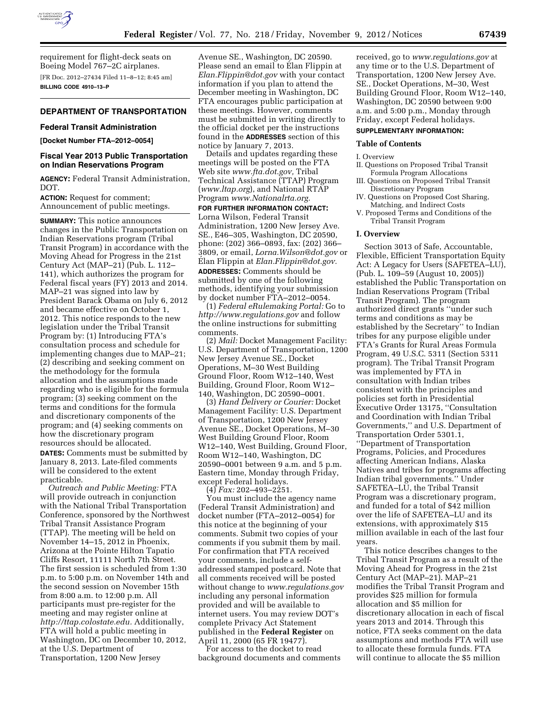

requirement for flight-deck seats on Boeing Model 767–2C airplanes. [FR Doc. 2012–27434 Filed 11–8–12; 8:45 am] **BILLING CODE 4910–13–P** 

### **DEPARTMENT OF TRANSPORTATION**

#### **Federal Transit Administration**

**[Docket Number FTA–2012–0054]** 

## **Fiscal Year 2013 Public Transportation on Indian Reservations Program**

**AGENCY:** Federal Transit Administration, DOT.

**ACTION:** Request for comment; Announcement of public meetings.

**SUMMARY:** This notice announces changes in the Public Transportation on Indian Reservations program (Tribal Transit Program) in accordance with the Moving Ahead for Progress in the 21st Century Act (MAP–21) (Pub. L. 112– 141), which authorizes the program for Federal fiscal years (FY) 2013 and 2014. MAP–21 was signed into law by President Barack Obama on July 6, 2012 and became effective on October 1, 2012. This notice responds to the new legislation under the Tribal Transit Program by: (1) Introducing FTA's consultation process and schedule for implementing changes due to MAP–21; (2) describing and seeking comment on the methodology for the formula allocation and the assumptions made regarding who is eligible for the formula program; (3) seeking comment on the terms and conditions for the formula and discretionary components of the program; and (4) seeking comments on how the discretionary program resources should be allocated. **DATES:** Comments must be submitted by January 8, 2013. Late-filed comments will be considered to the extent practicable.

*Outreach and Public Meeting:* FTA will provide outreach in conjunction with the National Tribal Transportation Conference, sponsored by the Northwest Tribal Transit Assistance Program (TTAP). The meeting will be held on November 14–15, 2012 in Phoenix, Arizona at the Pointe Hilton Tapatio Cliffs Resort, 11111 North 7th Street. The first session is scheduled from 1:30 p.m. to 5:00 p.m. on November 14th and the second session on November 15th from 8:00 a.m. to 12:00 p.m. All participants must pre-register for the meeting and may register online at *[http://ttap.colostate.edu.](http://ttap.colostate.edu)* Additionally, FTA will hold a public meeting in Washington, DC on December 10, 2012, at the U.S. Department of Transportation, 1200 New Jersey

Avenue SE., Washington, DC 20590. Please send an email to Elan Flippin at *[Elan.Flippin@dot.gov](mailto:Elan.Flippin@dot.gov)* with your contact information if you plan to attend the December meeting in Washington, DC FTA encourages public participation at these meetings. However, comments must be submitted in writing directly to the official docket per the instructions found in the **ADDRESSES** section of this notice by January 7, 2013.

Details and updates regarding these meetings will be posted on the FTA Web site *[www.fta.dot.gov,](http://www.fta.dot.gov)* Tribal Technical Assistance (TTAP) Program (*[www.ltap.org](http://www.ltap.org)*), and National RTAP Program *[www.Nationalrta.org.](http://www.Nationalrta.org)* 

**FOR FURTHER INFORMATION CONTACT:**  Lorna Wilson, Federal Transit Administration, 1200 New Jersey Ave. SE., E46–305, Washington, DC 20590, phone: (202) 366–0893, fax: (202) 366– 3809, or email, *[Lorna.Wilson@dot.gov](mailto:Lorna.Wilson@dot.gov)* or E´lan Flippin at *[Elan.Flippin@dot.gov.](mailto:Elan.Flippin@dot.gov)*  **ADDRESSES:** Comments should be submitted by one of the following methods, identifying your submission by docket number FTA–2012–0054.

(1) *Federal eRulemaking Portal:* Go to *<http://www.regulations.gov>* and follow the online instructions for submitting comments.

(2) *Mail:* Docket Management Facility: U.S. Department of Transportation, 1200 New Jersey Avenue SE., Docket Operations, M–30 West Building Ground Floor, Room W12–140, West Building, Ground Floor, Room W12– 140, Washington, DC 20590–0001.

(3) *Hand Delivery or Courier:* Docket Management Facility: U.S. Department of Transportation, 1200 New Jersey Avenue SE., Docket Operations, M–30 West Building Ground Floor, Room W12–140, West Building, Ground Floor, Room W12–140, Washington, DC 20590–0001 between 9 a.m. and 5 p.m. Eastern time, Monday through Friday, except Federal holidays.

(4) *Fax:* 202–493–2251.

You must include the agency name (Federal Transit Administration) and docket number (FTA–2012–0054) for this notice at the beginning of your comments. Submit two copies of your comments if you submit them by mail. For confirmation that FTA received your comments, include a selfaddressed stamped postcard. Note that all comments received will be posted without change to *[www.regulations.gov](http://www.regulations.gov)*  including any personal information provided and will be available to internet users. You may review DOT's complete Privacy Act Statement published in the **Federal Register** on April 11, 2000 (65 FR 19477).

For access to the docket to read background documents and comments received, go to *[www.regulations.gov](http://www.regulations.gov)* at any time or to the U.S. Department of Transportation, 1200 New Jersey Ave. SE., Docket Operations, M–30, West Building Ground Floor, Room W12–140, Washington, DC 20590 between 9:00 a.m. and 5:00 p.m., Monday through Friday, except Federal holidays.

### **SUPPLEMENTARY INFORMATION:**

#### **Table of Contents**

#### I. Overview

- II. Questions on Proposed Tribal Transit Formula Program Allocations
- III. Questions on Proposed Tribal Transit Discretionary Program
- IV. Questions on Proposed Cost Sharing, Matching, and Indirect Costs
- V. Proposed Terms and Conditions of the Tribal Transit Program

#### **I. Overview**

Section 3013 of Safe, Accountable, Flexible, Efficient Transportation Equity Act: A Legacy for Users (SAFETEA–LU), (Pub. L. 109–59 (August 10, 2005)) established the Public Transportation on Indian Reservations Program (Tribal Transit Program). The program authorized direct grants ''under such terms and conditions as may be established by the Secretary'' to Indian tribes for any purpose eligible under FTA's Grants for Rural Areas Formula Program, 49 U.S.C. 5311 (Section 5311 program). The Tribal Transit Program was implemented by FTA in consultation with Indian tribes consistent with the principles and policies set forth in Presidential Executive Order 13175, ''Consultation and Coordination with Indian Tribal Governments,'' and U.S. Department of Transportation Order 5301.1, ''Department of Transportation Programs, Policies, and Procedures affecting American Indians, Alaska Natives and tribes for programs affecting Indian tribal governments.'' Under SAFETEA–LU, the Tribal Transit Program was a discretionary program, and funded for a total of \$42 million over the life of SAFETEA–LU and its extensions, with approximately \$15 million available in each of the last four years.

This notice describes changes to the Tribal Transit Program as a result of the Moving Ahead for Progress in the 21st Century Act (MAP–21). MAP–21 modifies the Tribal Transit Program and provides \$25 million for formula allocation and \$5 million for discretionary allocation in each of fiscal years 2013 and 2014. Through this notice, FTA seeks comment on the data assumptions and methods FTA will use to allocate these formula funds. FTA will continue to allocate the \$5 million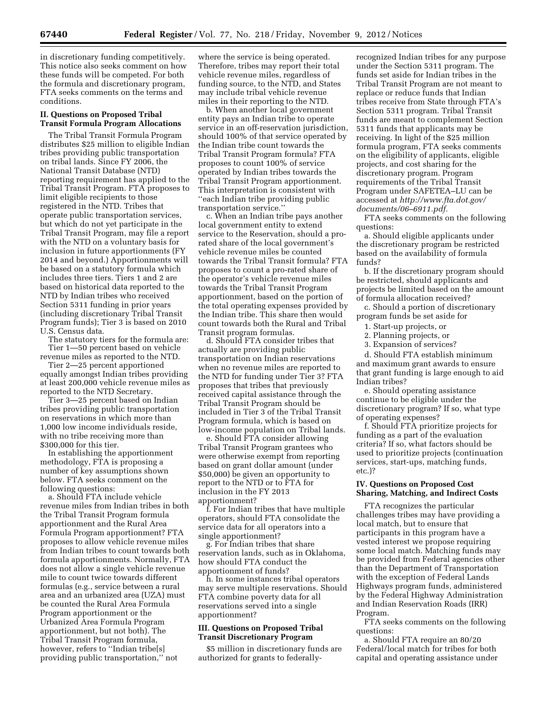in discretionary funding competitively. This notice also seeks comment on how these funds will be competed. For both the formula and discretionary program, FTA seeks comments on the terms and conditions.

## **II. Questions on Proposed Tribal Transit Formula Program Allocations**

The Tribal Transit Formula Program distributes \$25 million to eligible Indian tribes providing public transportation on tribal lands. Since FY 2006, the National Transit Database (NTD) reporting requirement has applied to the Tribal Transit Program. FTA proposes to limit eligible recipients to those registered in the NTD. Tribes that operate public transportation services, but which do not yet participate in the Tribal Transit Program, may file a report with the NTD on a voluntary basis for inclusion in future apportionments (FY 2014 and beyond.) Apportionments will be based on a statutory formula which includes three tiers. Tiers 1 and 2 are based on historical data reported to the NTD by Indian tribes who received Section 5311 funding in prior years (including discretionary Tribal Transit Program funds); Tier 3 is based on 2010 U.S. Census data.

The statutory tiers for the formula are: Tier 1—50 percent based on vehicle revenue miles as reported to the NTD.

Tier 2—25 percent apportioned equally amongst Indian tribes providing at least 200,000 vehicle revenue miles as reported to the NTD Secretary.

Tier 3—25 percent based on Indian tribes providing public transportation on reservations in which more than 1,000 low income individuals reside, with no tribe receiving more than \$300,000 for this tier.

In establishing the apportionment methodology, FTA is proposing a number of key assumptions shown below. FTA seeks comment on the following questions:

a. Should FTA include vehicle revenue miles from Indian tribes in both the Tribal Transit Program formula apportionment and the Rural Area Formula Program apportionment? FTA proposes to allow vehicle revenue miles from Indian tribes to count towards both formula apportionments. Normally, FTA does not allow a single vehicle revenue mile to count twice towards different formulas (e.g., service between a rural area and an urbanized area (UZA) must be counted the Rural Area Formula Program apportionment or the Urbanized Area Formula Program apportionment, but not both). The Tribal Transit Program formula, however, refers to "Indian tribe[s] providing public transportation,'' not

where the service is being operated. Therefore, tribes may report their total vehicle revenue miles, regardless of funding source, to the NTD, and States may include tribal vehicle revenue miles in their reporting to the NTD.

b. When another local government entity pays an Indian tribe to operate service in an off-reservation jurisdiction, should 100% of that service operated by the Indian tribe count towards the Tribal Transit Program formula? FTA proposes to count 100% of service operated by Indian tribes towards the Tribal Transit Program apportionment. This interpretation is consistent with ''each Indian tribe providing public transportation service.''

c. When an Indian tribe pays another local government entity to extend service to the Reservation, should a prorated share of the local government's vehicle revenue miles be counted towards the Tribal Transit formula? FTA proposes to count a pro-rated share of the operator's vehicle revenue miles towards the Tribal Transit Program apportionment, based on the portion of the total operating expenses provided by the Indian tribe. This share then would count towards both the Rural and Tribal Transit program formulas.

d. Should FTA consider tribes that actually are providing public transportation on Indian reservations when no revenue miles are reported to the NTD for funding under Tier 3? FTA proposes that tribes that previously received capital assistance through the Tribal Transit Program should be included in Tier 3 of the Tribal Transit Program formula, which is based on low-income population on Tribal lands.

e. Should FTA consider allowing Tribal Transit Program grantees who were otherwise exempt from reporting based on grant dollar amount (under \$50,000) be given an opportunity to report to the NTD or to FTA for inclusion in the FY 2013 apportionment?

f. For Indian tribes that have multiple operators, should FTA consolidate the service data for all operators into a single apportionment?

g. For Indian tribes that share reservation lands, such as in Oklahoma, how should FTA conduct the apportionment of funds?

h. In some instances tribal operators may serve multiple reservations. Should FTA combine poverty data for all reservations served into a single apportionment?

# **III. Questions on Proposed Tribal Transit Discretionary Program**

\$5 million in discretionary funds are authorized for grants to federallyrecognized Indian tribes for any purpose under the Section 5311 program. The funds set aside for Indian tribes in the Tribal Transit Program are not meant to replace or reduce funds that Indian tribes receive from State through FTA's Section 5311 program. Tribal Transit funds are meant to complement Section 5311 funds that applicants may be receiving. In light of the \$25 million formula program, FTA seeks comments on the eligibility of applicants, eligible projects, and cost sharing for the discretionary program. Program requirements of the Tribal Transit Program under SAFETEA–LU can be accessed at *[http://www.fta.dot.gov/](http://www.fta.dot.gov/documents/06-6911.pdf) [documents/06–6911.pdf.](http://www.fta.dot.gov/documents/06-6911.pdf)* 

FTA seeks comments on the following questions:

a. Should eligible applicants under the discretionary program be restricted based on the availability of formula funds?

b. If the discretionary program should be restricted, should applicants and projects be limited based on the amount of formula allocation received?

c. Should a portion of discretionary program funds be set aside for

- 1. Start-up projects, or
- 2. Planning projects, or
- 3. Expansion of services?

d. Should FTA establish minimum and maximum grant awards to ensure that grant funding is large enough to aid Indian tribes?

e. Should operating assistance continue to be eligible under the discretionary program? If so, what type of operating expenses?

f. Should FTA prioritize projects for funding as a part of the evaluation criteria? If so, what factors should be used to prioritize projects (continuation services, start-ups, matching funds, etc.)?

## **IV. Questions on Proposed Cost Sharing, Matching, and Indirect Costs**

FTA recognizes the particular challenges tribes may have providing a local match, but to ensure that participants in this program have a vested interest we propose requiring some local match. Matching funds may be provided from Federal agencies other than the Department of Transportation with the exception of Federal Lands Highways program funds, administered by the Federal Highway Administration and Indian Reservation Roads (IRR) Program.

FTA seeks comments on the following questions:

a. Should FTA require an 80/20 Federal/local match for tribes for both capital and operating assistance under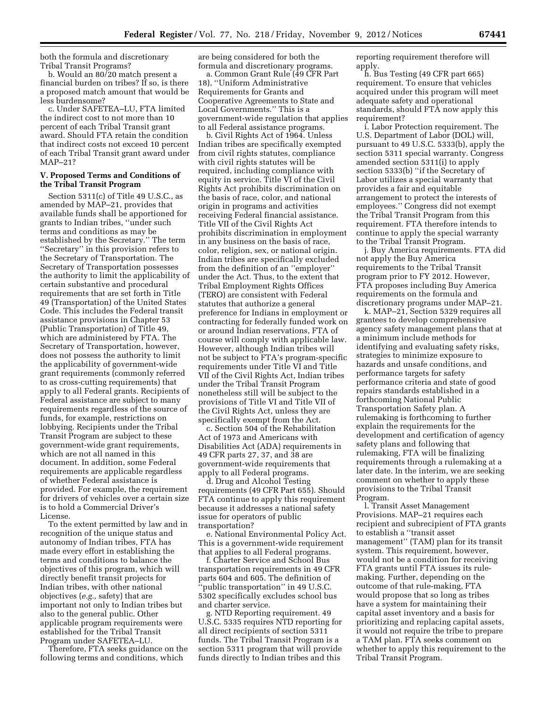both the formula and discretionary Tribal Transit Programs?

b. Would an 80/20 match present a financial burden on tribes? If so, is there a proposed match amount that would be less burdensome?

c. Under SAFETEA–LU, FTA limited the indirect cost to not more than 10 percent of each Tribal Transit grant award. Should FTA retain the condition that indirect costs not exceed 10 percent of each Tribal Transit grant award under MAP–21?

### **V. Proposed Terms and Conditions of the Tribal Transit Program**

Section 5311(c) of Title 49 U.S.C., as amended by MAP–21, provides that available funds shall be apportioned for grants to Indian tribes, ''under such terms and conditions as may be established by the Secretary.'' The term ''Secretary'' in this provision refers to the Secretary of Transportation. The Secretary of Transportation possesses the authority to limit the applicability of certain substantive and procedural requirements that are set forth in Title 49 (Transportation) of the United States Code. This includes the Federal transit assistance provisions in Chapter 53 (Public Transportation) of Title 49, which are administered by FTA. The Secretary of Transportation, however, does not possess the authority to limit the applicability of government-wide grant requirements (commonly referred to as cross-cutting requirements) that apply to all Federal grants. Recipients of Federal assistance are subject to many requirements regardless of the source of funds, for example, restrictions on lobbying. Recipients under the Tribal Transit Program are subject to these government-wide grant requirements, which are not all named in this document. In addition, some Federal requirements are applicable regardless of whether Federal assistance is provided. For example, the requirement for drivers of vehicles over a certain size is to hold a Commercial Driver's License.

To the extent permitted by law and in recognition of the unique status and autonomy of Indian tribes, FTA has made every effort in establishing the terms and conditions to balance the objectives of this program, which will directly benefit transit projects for Indian tribes, with other national objectives (*e.g.,* safety) that are important not only to Indian tribes but also to the general public. Other applicable program requirements were established for the Tribal Transit Program under SAFETEA–LU.

Therefore, FTA seeks guidance on the following terms and conditions, which

are being considered for both the formula and discretionary programs.

a. Common Grant Rule (49 CFR Part 18), ''Uniform Administrative Requirements for Grants and Cooperative Agreements to State and Local Governments.'' This is a government-wide regulation that applies to all Federal assistance programs.

b. Civil Rights Act of 1964. Unless Indian tribes are specifically exempted from civil rights statutes, compliance with civil rights statutes will be required, including compliance with equity in service. Title VI of the Civil Rights Act prohibits discrimination on the basis of race, color, and national origin in programs and activities receiving Federal financial assistance. Title VII of the Civil Rights Act prohibits discrimination in employment in any business on the basis of race, color, religion, sex, or national origin. Indian tribes are specifically excluded from the definition of an ''employer'' under the Act. Thus, to the extent that Tribal Employment Rights Offices (TERO) are consistent with Federal statutes that authorize a general preference for Indians in employment or contracting for federally funded work on or around Indian reservations, FTA of course will comply with applicable law. However, although Indian tribes will not be subject to FTA's program-specific requirements under Title VI and Title VII of the Civil Rights Act, Indian tribes under the Tribal Transit Program nonetheless still will be subject to the provisions of Title VI and Title VII of the Civil Rights Act, unless they are specifically exempt from the Act.

c. Section 504 of the Rehabilitation Act of 1973 and Americans with Disabilities Act (ADA) requirements in 49 CFR parts 27, 37, and 38 are government-wide requirements that apply to all Federal programs.

d. Drug and Alcohol Testing requirements (49 CFR Part 655). Should FTA continue to apply this requirement because it addresses a national safety issue for operators of public transportation?

e. National Environmental Policy Act. This is a government-wide requirement that applies to all Federal programs.

f. Charter Service and School Bus transportation requirements in 49 CFR parts 604 and 605. The definition of ''public transportation'' in 49 U.S.C. 5302 specifically excludes school bus and charter service.

g. NTD Reporting requirement. 49 U.S.C. 5335 requires NTD reporting for all direct recipients of section 5311 funds. The Tribal Transit Program is a section 5311 program that will provide funds directly to Indian tribes and this

reporting requirement therefore will apply.

h. Bus Testing (49 CFR part 665) requirement. To ensure that vehicles acquired under this program will meet adequate safety and operational standards, should FTA now apply this requirement?

i. Labor Protection requirement. The U.S. Department of Labor (DOL) will, pursuant to 49 U.S.C. 5333(b), apply the section 5311 special warranty. Congress amended section 5311(i) to apply section 5333(b) ''if the Secretary of Labor utilizes a special warranty that provides a fair and equitable arrangement to protect the interests of employees.'' Congress did not exempt the Tribal Transit Program from this requirement. FTA therefore intends to continue to apply the special warranty to the Tribal Transit Program.

j. Buy America requirements. FTA did not apply the Buy America requirements to the Tribal Transit program prior to FY 2012. However, FTA proposes including Buy America requirements on the formula and discretionary programs under MAP–21.

k. MAP–21, Section 5329 requires all grantees to develop comprehensive agency safety management plans that at a minimum include methods for identifying and evaluating safety risks, strategies to minimize exposure to hazards and unsafe conditions, and performance targets for safety performance criteria and state of good repairs standards established in a forthcoming National Public Transportation Safety plan. A rulemaking is forthcoming to further explain the requirements for the development and certification of agency safety plans and following that rulemaking, FTA will be finalizing requirements through a rulemaking at a later date. In the interim, we are seeking comment on whether to apply these provisions to the Tribal Transit Program.

l. Transit Asset Management Provisions. MAP–21 requires each recipient and subrecipient of FTA grants to establish a ''transit asset management'' (TAM) plan for its transit system. This requirement, however, would not be a condition for receiving FTA grants until FTA issues its rulemaking. Further, depending on the outcome of that rule-making, FTA would propose that so long as tribes have a system for maintaining their capital asset inventory and a basis for prioritizing and replacing capital assets, it would not require the tribe to prepare a TAM plan. FTA seeks comment on whether to apply this requirement to the Tribal Transit Program.